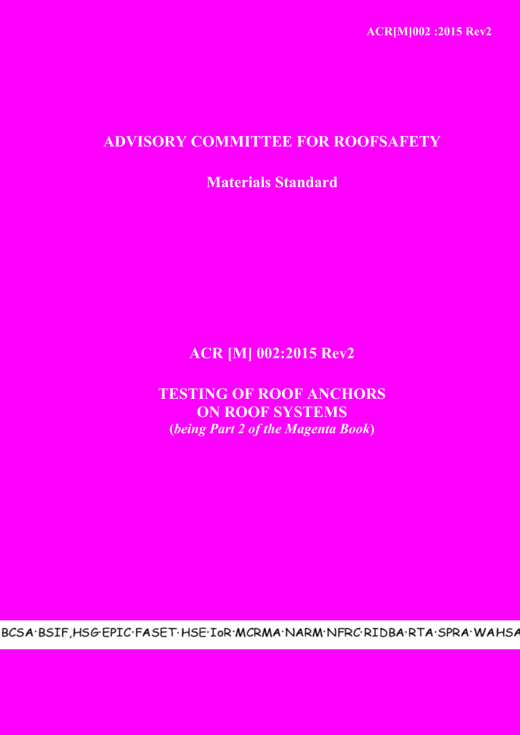# **ADVISORY COMMITTEE FOR ROOFSAFETY**

**Materials Standard**

# **ACR [M] 002:2015 Rev2**

**TESTING OF ROOF ANCHORS ON ROOF SYSTEMS (***being Part 2 of the Magenta Book***)**

BCSA.BSIF, HSG.EPIC.FASET.HSE.IoR.MCRMA.NARM.NFRC.RIDBA.RTA.SPRA.WAHSA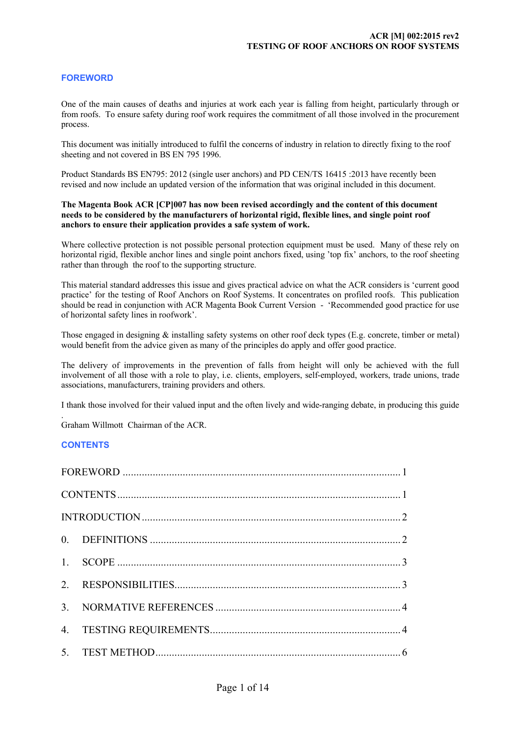## **FOREWORD**

One of the main causes of deaths and injuries at work each year is falling from height, particularly through or from roofs. To ensure safety during roof work requires the commitment of all those involved in the procurement process.

This document was initially introduced to fulfil the concerns of industry in relation to directly fixing to the roof sheeting and not covered in BS EN 795 1996.

Product Standards BS EN795: 2012 (single user anchors) and PD CEN/TS 16415 :2013 have recently been revised and now include an updated version of the information that was original included in this document.

#### **The Magenta Book ACR [CP]007 has now been revised accordingly and the content of this document needs to be considered by the manufacturers of horizontal rigid, flexible lines, and single point roof anchors to ensure their application provides a safe system of work.**

Where collective protection is not possible personal protection equipment must be used. Many of these rely on horizontal rigid, flexible anchor lines and single point anchors fixed, using 'top fix' anchors, to the roof sheeting rather than through the roof to the supporting structure.

This material standard addresses this issue and gives practical advice on what the ACR considers is 'current good practice' for the testing of Roof Anchors on Roof Systems. It concentrates on profiled roofs. This publication should be read in conjunction with ACR Magenta Book Current Version - 'Recommended good practice for use of horizontal safety lines in roofwork'.

Those engaged in designing  $\&$  installing safety systems on other roof deck types (E.g. concrete, timber or metal) would benefit from the advice given as many of the principles do apply and offer good practice.

The delivery of improvements in the prevention of falls from height will only be achieved with the full involvement of all those with a role to play, i.e. clients, employers, self-employed, workers, trade unions, trade associations, manufacturers, training providers and others.

I thank those involved for their valued input and the often lively and wide-ranging debate, in producing this guide

. Graham Willmott Chairman of the ACR.

#### **CONTENTS**

| 4. |  |  |  |
|----|--|--|--|
|    |  |  |  |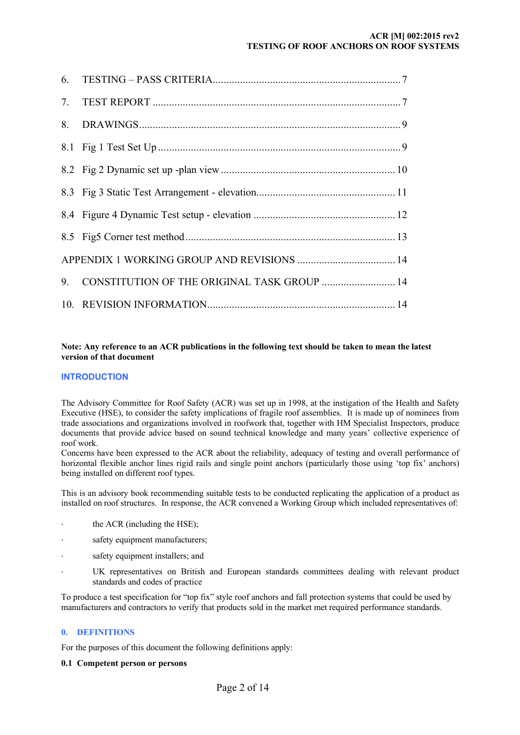#### **ACR [M] 002:2015 rev2 TESTING OF ROOF ANCHORS ON ROOF SYSTEMS**

<span id="page-2-0"></span>

| 7. |                                             |  |
|----|---------------------------------------------|--|
| 8. |                                             |  |
|    |                                             |  |
|    |                                             |  |
|    |                                             |  |
|    |                                             |  |
|    |                                             |  |
|    |                                             |  |
| 9  | CONSTITUTION OF THE ORIGINAL TASK GROUP  14 |  |
|    |                                             |  |

#### **Note: Any reference to an ACR publications in the following text should be taken to mean the latest version of that document**

## **INTRODUCTION**

The Advisory Committee for Roof Safety (ACR) was set up in 1998, at the instigation of the Health and Safety Executive (HSE), to consider the safety implications of fragile roof assemblies. It is made up of nominees from trade associations and organizations involved in roofwork that, together with HM Specialist Inspectors, produce documents that provide advice based on sound technical knowledge and many years' collective experience of roof work.

Concerns have been expressed to the ACR about the reliability, adequacy of testing and overall performance of horizontal flexible anchor lines rigid rails and single point anchors (particularly those using 'top fix' anchors) being installed on different roof types.

This is an advisory book recommending suitable tests to be conducted replicating the application of a product as installed on roof structures. In response, the ACR convened a Working Group which included representatives of:

- the ACR (including the HSE);
- safety equipment manufacturers;
- safety equipment installers; and
- UK representatives on British and European standards committees dealing with relevant product standards and codes of practice

To produce a test specification for "top fix" style roof anchors and fall protection systems that could be used by manufacturers and contractors to verify that products sold in the market met required performance standards.

#### **0. DEFINITIONS**

For the purposes of this document the following definitions apply:

#### **0.1 Competent person or persons**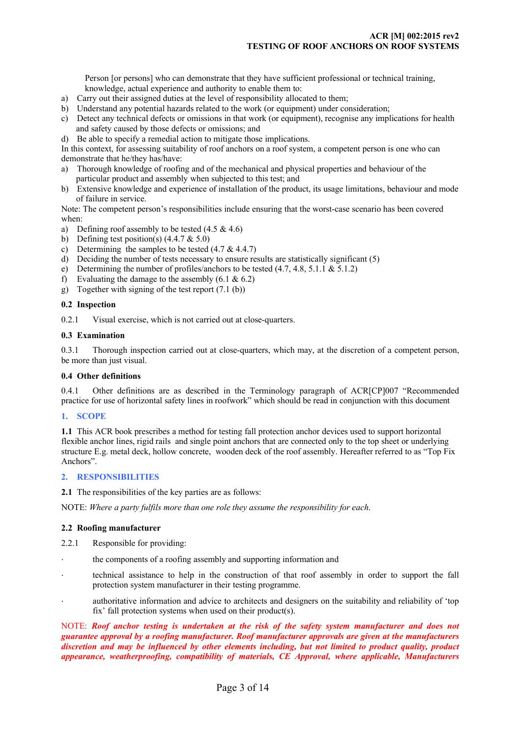Person [or persons] who can demonstrate that they have sufficient professional or technical training, knowledge, actual experience and authority to enable them to:

- <span id="page-3-0"></span>a) Carry out their assigned duties at the level of responsibility allocated to them;
- b) Understand any potential hazards related to the work (or equipment) under consideration;
- c) Detect any technical defects or omissions in that work (or equipment), recognise any implications for health and safety caused by those defects or omissions; and
- d) Be able to specify a remedial action to mitigate those implications.

In this context, for assessing suitability of roof anchors on a roof system, a competent person is one who can demonstrate that he/they has/have:

- a) Thorough knowledge of roofing and of the mechanical and physical properties and behaviour of the particular product and assembly when subjected to this test; and
- b) Extensive knowledge and experience of installation of the product, its usage limitations, behaviour and mode of failure in service.

Note: The competent person's responsibilities include ensuring that the worst-case scenario has been covered when:

- a) Defining roof assembly to be tested  $(4.5 \& 4.6)$
- b) Defining test position(s)  $(4.4.7 \& 5.0)$
- c) Determining the samples to be tested  $(4.7 \& 4.4.7)$
- d) Deciding the number of tests necessary to ensure results are statistically significant (5)
- e) Determining the number of profiles/anchors to be tested (4.7, 4.8, 5.1.1 & 5.1.2)
- f) Evaluating the damage to the assembly  $(6.1 \& 6.2)$
- g) Together with signing of the test report (7.1 (b))

## **0.2 Inspection**

0.2.1 Visual exercise, which is not carried out at close-quarters.

#### **0.3 Examination**

0.3.1 Thorough inspection carried out at close-quarters, which may, at the discretion of a competent person, be more than just visual.

### **0.4 Other definitions**

0.4.1 Other definitions are as described in the Terminology paragraph of ACR[CP]007 "Recommended practice for use of horizontal safety lines in roofwork" which should be read in conjunction with this document

#### **1. SCOPE**

**1.1** This ACR book prescribes a method for testing fall protection anchor devices used to support horizontal flexible anchor lines, rigid rails and single point anchors that are connected only to the top sheet or underlying structure E.g. metal deck, hollow concrete, wooden deck of the roof assembly. Hereafter referred to as "Top Fix Anchors".

#### **2. RESPONSIBILITIES**

**2.1** The responsibilities of the key parties are as follows:

NOTE: *Where a party fulfils more than one role they assume the responsibility for each*.

#### **2.2 Roofing manufacturer**

2.2.1 Responsible for providing:

- the components of a roofing assembly and supporting information and
- · technical assistance to help in the construction of that roof assembly in order to support the fall protection system manufacturer in their testing programme.
- authoritative information and advice to architects and designers on the suitability and reliability of 'top fix' fall protection systems when used on their product(s).

NOTE: *Roof anchor testing is undertaken at the risk of the safety system manufacturer and does not guarantee approval by a roofing manufacturer. Roof manufacturer approvals are given at the manufacturers discretion and may be influenced by other elements including, but not limited to product quality, product appearance, weatherproofing, compatibility of materials, CE Approval, where applicable, Manufacturers*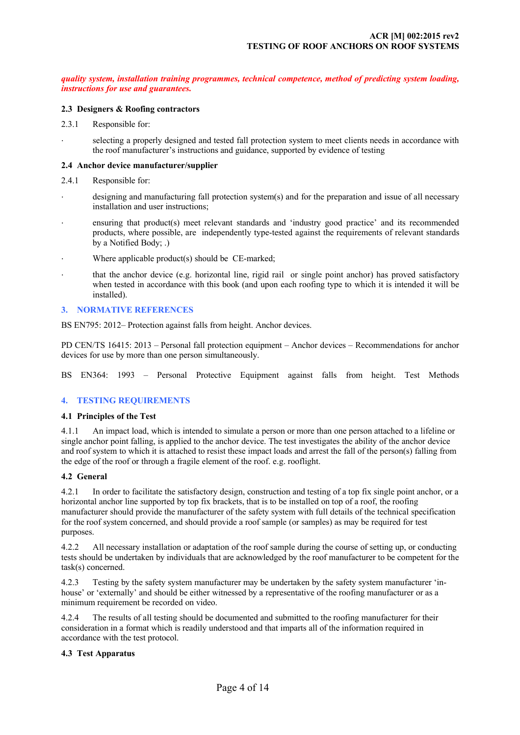<span id="page-4-0"></span>*quality system, installation training programmes, technical competence, method of predicting system loading, instructions for use and guarantees***.**

#### **2.3 Designers & Roofing contractors**

- 2.3.1 Responsible for:
- selecting a properly designed and tested fall protection system to meet clients needs in accordance with the roof manufacturer's instructions and guidance, supported by evidence of testing

#### **2.4 Anchor device manufacturer/supplier**

- 2.4.1 Responsible for:
- designing and manufacturing fall protection system(s) and for the preparation and issue of all necessary installation and user instructions;
- ensuring that product(s) meet relevant standards and 'industry good practice' and its recommended products, where possible, are independently type-tested against the requirements of relevant standards by a Notified Body; .)
- Where applicable product(s) should be  $CE$ -marked;
- · that the anchor device (e.g. horizontal line, rigid rail or single point anchor) has proved satisfactory when tested in accordance with this book (and upon each roofing type to which it is intended it will be installed).

### **3. NORMATIVE REFERENCES**

BS EN795: 2012– Protection against falls from height. Anchor devices.

PD CEN/TS 16415: 2013 – Personal fall protection equipment – Anchor devices – Recommendations for anchor devices for use by more than one person simultaneously.

BS EN364: 1993 – Personal Protective Equipment against falls from height. Test Methods

#### **4. TESTING REQUIREMENTS**

#### **4.1 Principles of the Test**

4.1.1 An impact load, which is intended to simulate a person or more than one person attached to a lifeline or single anchor point falling, is applied to the anchor device. The test investigates the ability of the anchor device and roof system to which it is attached to resist these impact loads and arrest the fall of the person(s) falling from the edge of the roof or through a fragile element of the roof. e.g. rooflight.

### **4.2 General**

4.2.1 In order to facilitate the satisfactory design, construction and testing of a top fix single point anchor, or a horizontal anchor line supported by top fix brackets, that is to be installed on top of a roof, the roofing manufacturer should provide the manufacturer of the safety system with full details of the technical specification for the roof system concerned, and should provide a roof sample (or samples) as may be required for test purposes.

4.2.2 All necessary installation or adaptation of the roof sample during the course of setting up, or conducting tests should be undertaken by individuals that are acknowledged by the roof manufacturer to be competent for the task(s) concerned.

4.2.3 Testing by the safety system manufacturer may be undertaken by the safety system manufacturer 'inhouse' or 'externally' and should be either witnessed by a representative of the roofing manufacturer or as a minimum requirement be recorded on video.

4.2.4 The results of all testing should be documented and submitted to the roofing manufacturer for their consideration in a format which is readily understood and that imparts all of the information required in accordance with the test protocol.

#### **4.3 Test Apparatus**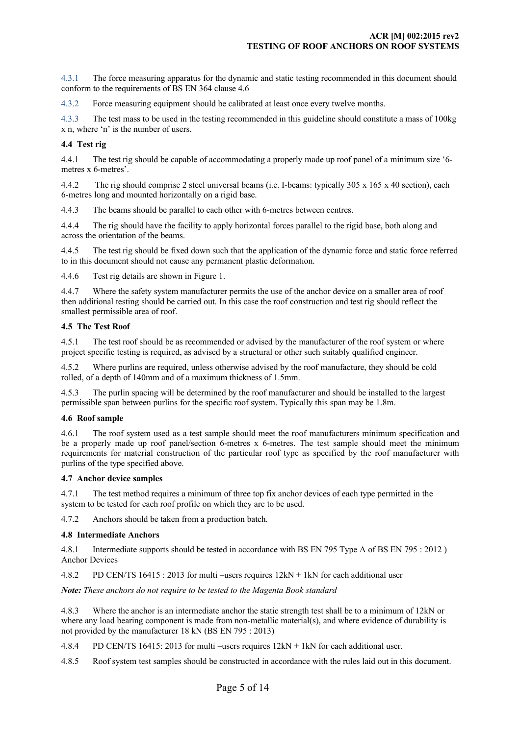4.3.1 The force measuring apparatus for the dynamic and static testing recommended in this document should conform to the requirements of BS EN 364 clause 4.6

4.3.2 Force measuring equipment should be calibrated at least once every twelve months.

4.3.3 The test mass to be used in the testing recommended in this guideline should constitute a mass of 100kg x n, where 'n' is the number of users.

#### **4.4 Test rig**

4.4.1 The test rig should be capable of accommodating a properly made up roof panel of a minimum size '6 metres x 6-metres'.

4.4.2 The rig should comprise 2 steel universal beams (i.e. I-beams: typically 305 x 165 x 40 section), each 6-metres long and mounted horizontally on a rigid base.

4.4.3 The beams should be parallel to each other with 6-metres between centres.

4.4.4 The rig should have the facility to apply horizontal forces parallel to the rigid base, both along and across the orientation of the beams.

4.4.5 The test rig should be fixed down such that the application of the dynamic force and static force referred to in this document should not cause any permanent plastic deformation.

4.4.6 Test rig details are shown in Figure 1.

4.4.7 Where the safety system manufacturer permits the use of the anchor device on a smaller area of roof then additional testing should be carried out. In this case the roof construction and test rig should reflect the smallest permissible area of roof.

#### **4.5 The Test Roof**

4.5.1 The test roof should be as recommended or advised by the manufacturer of the roof system or where project specific testing is required, as advised by a structural or other such suitably qualified engineer.

4.5.2 Where purlins are required, unless otherwise advised by the roof manufacture, they should be cold rolled, of a depth of 140mm and of a maximum thickness of 1.5mm.

4.5.3 The purlin spacing will be determined by the roof manufacturer and should be installed to the largest permissible span between purlins for the specific roof system. Typically this span may be 1.8m.

#### **4.6 Roof sample**

4.6.1 The roof system used as a test sample should meet the roof manufacturers minimum specification and be a properly made up roof panel/section 6-metres x 6-metres. The test sample should meet the minimum requirements for material construction of the particular roof type as specified by the roof manufacturer with purlins of the type specified above.

#### **4.7 Anchor device samples**

4.7.1 The test method requires a minimum of three top fix anchor devices of each type permitted in the system to be tested for each roof profile on which they are to be used.

4.7.2 Anchors should be taken from a production batch.

#### **4.8 Intermediate Anchors**

4.8.1 Intermediate supports should be tested in accordance with BS EN 795 Type A of BS EN 795 : 2012 ) Anchor Devices

4.8.2 PD CEN/TS 16415 : 2013 for multi –users requires 12kN + 1kN for each additional user

*Note: These anchors do not require to be tested to the Magenta Book standard* 

4.8.3 Where the anchor is an intermediate anchor the static strength test shall be to a minimum of 12kN or where any load bearing component is made from non-metallic material(s), and where evidence of durability is not provided by the manufacturer 18 kN (BS EN 795 : 2013)

4.8.4 PD CEN/TS 16415: 2013 for multi –users requires 12kN + 1kN for each additional user.

4.8.5 Roof system test samples should be constructed in accordance with the rules laid out in this document.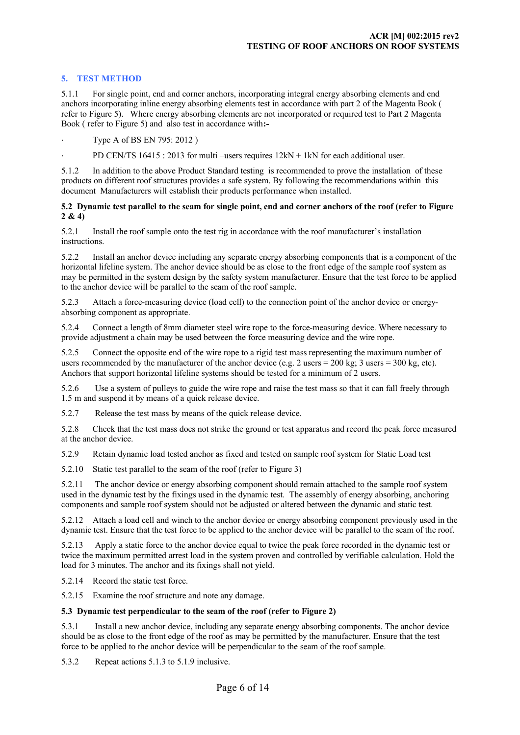## <span id="page-6-0"></span>**5. TEST METHOD**

5.1.1 For single point, end and corner anchors, incorporating integral energy absorbing elements and end anchors incorporating inline energy absorbing elements test in accordance with part 2 of the Magenta Book ( refer to Figure 5). Where energy absorbing elements are not incorporated or required test to Part 2 Magenta Book ( refer to Figure 5) and also test in accordance with**:-**

· Type A of BS EN 795: 2012 )

PD CEN/TS 16415 : 2013 for multi –users requires  $12kN + 1kN$  for each additional user.

5.1.2 In addition to the above Product Standard testing is recommended to prove the installation of these products on different roof structures provides a safe system. By following the recommendations within this document Manufacturers will establish their products performance when installed.

#### **5.2 Dynamic test parallel to the seam for single point, end and corner anchors of the roof (refer to Figure 2 & 4)**

5.2.1 Install the roof sample onto the test rig in accordance with the roof manufacturer's installation instructions.

5.2.2 Install an anchor device including any separate energy absorbing components that is a component of the horizontal lifeline system. The anchor device should be as close to the front edge of the sample roof system as may be permitted in the system design by the safety system manufacturer. Ensure that the test force to be applied to the anchor device will be parallel to the seam of the roof sample.

5.2.3 Attach a force-measuring device (load cell) to the connection point of the anchor device or energyabsorbing component as appropriate.

5.2.4 Connect a length of 8mm diameter steel wire rope to the force-measuring device. Where necessary to provide adjustment a chain may be used between the force measuring device and the wire rope.

5.2.5 Connect the opposite end of the wire rope to a rigid test mass representing the maximum number of users recommended by the manufacturer of the anchor device (e.g. 2 users = 200 kg; 3 users = 300 kg, etc). Anchors that support horizontal lifeline systems should be tested for a minimum of 2 users.

5.2.6 Use a system of pulleys to guide the wire rope and raise the test mass so that it can fall freely through 1.5 m and suspend it by means of a quick release device.

5.2.7 Release the test mass by means of the quick release device.

5.2.8 Check that the test mass does not strike the ground or test apparatus and record the peak force measured at the anchor device.

5.2.9 Retain dynamic load tested anchor as fixed and tested on sample roof system for Static Load test

5.2.10 Static test parallel to the seam of the roof (refer to Figure 3)

5.2.11 The anchor device or energy absorbing component should remain attached to the sample roof system used in the dynamic test by the fixings used in the dynamic test. The assembly of energy absorbing, anchoring components and sample roof system should not be adjusted or altered between the dynamic and static test.

5.2.12 Attach a load cell and winch to the anchor device or energy absorbing component previously used in the dynamic test. Ensure that the test force to be applied to the anchor device will be parallel to the seam of the roof.

5.2.13 Apply a static force to the anchor device equal to twice the peak force recorded in the dynamic test or twice the maximum permitted arrest load in the system proven and controlled by verifiable calculation. Hold the load for 3 minutes. The anchor and its fixings shall not yield.

5.2.14 Record the static test force.

5.2.15 Examine the roof structure and note any damage.

#### **5.3 Dynamic test perpendicular to the seam of the roof (refer to Figure 2)**

5.3.1 Install a new anchor device, including any separate energy absorbing components. The anchor device should be as close to the front edge of the roof as may be permitted by the manufacturer. Ensure that the test force to be applied to the anchor device will be perpendicular to the seam of the roof sample.

5.3.2 Repeat actions 5.1.3 to 5.1.9 inclusive.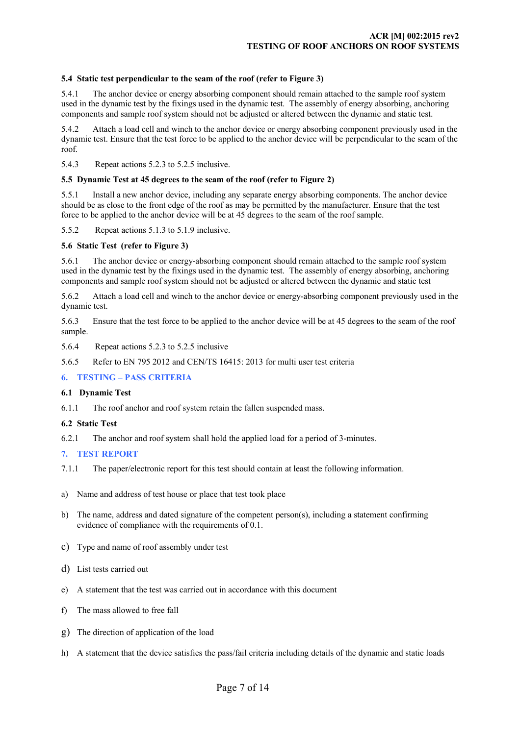#### <span id="page-7-0"></span>**5.4 Static test perpendicular to the seam of the roof (refer to Figure 3)**

5.4.1 The anchor device or energy absorbing component should remain attached to the sample roof system used in the dynamic test by the fixings used in the dynamic test. The assembly of energy absorbing, anchoring components and sample roof system should not be adjusted or altered between the dynamic and static test.

5.4.2 Attach a load cell and winch to the anchor device or energy absorbing component previously used in the dynamic test. Ensure that the test force to be applied to the anchor device will be perpendicular to the seam of the roof.

5.4.3 Repeat actions 5.2.3 to 5.2.5 inclusive.

#### **5.5 Dynamic Test at 45 degrees to the seam of the roof (refer to Figure 2)**

5.5.1 Install a new anchor device, including any separate energy absorbing components. The anchor device should be as close to the front edge of the roof as may be permitted by the manufacturer. Ensure that the test force to be applied to the anchor device will be at 45 degrees to the seam of the roof sample.

5.5.2 Repeat actions 5.1.3 to 5.1.9 inclusive.

#### **5.6 Static Test (refer to Figure 3)**

5.6.1 The anchor device or energy-absorbing component should remain attached to the sample roof system used in the dynamic test by the fixings used in the dynamic test. The assembly of energy absorbing, anchoring components and sample roof system should not be adjusted or altered between the dynamic and static test

5.6.2 Attach a load cell and winch to the anchor device or energy-absorbing component previously used in the dynamic test.

5.6.3 Ensure that the test force to be applied to the anchor device will be at 45 degrees to the seam of the roof sample.

- 5.6.4 Repeat actions 5.2.3 to 5.2.5 inclusive
- 5.6.5 Refer to EN 795 2012 and CEN/TS 16415: 2013 for multi user test criteria

#### **6. TESTING – PASS CRITERIA**

#### **6.1 Dynamic Test**

6.1.1 The roof anchor and roof system retain the fallen suspended mass.

#### **6.2 Static Test**

6.2.1 The anchor and roof system shall hold the applied load for a period of 3-minutes.

#### **7. TEST REPORT**

- 7.1.1 The paper/electronic report for this test should contain at least the following information.
- a) Name and address of test house or place that test took place
- b) The name, address and dated signature of the competent person(s), including a statement confirming evidence of compliance with the requirements of 0.1.
- c) Type and name of roof assembly under test
- d) List tests carried out
- e) A statement that the test was carried out in accordance with this document
- f) The mass allowed to free fall
- g) The direction of application of the load
- h) A statement that the device satisfies the pass/fail criteria including details of the dynamic and static loads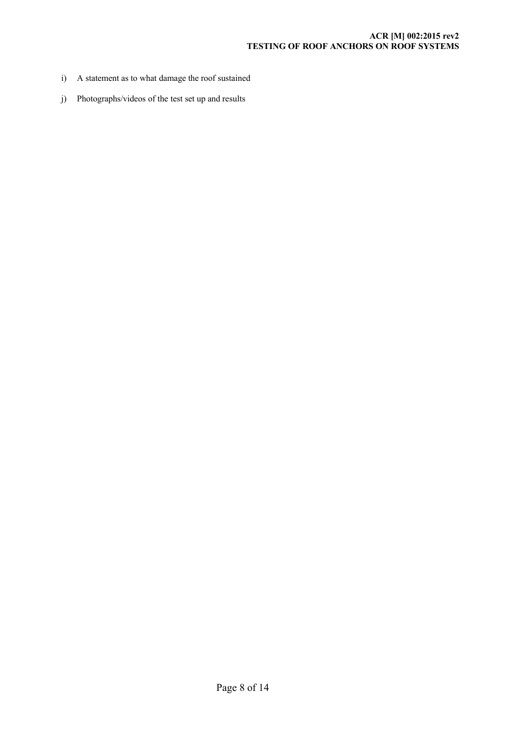### **ACR [M] 002:2015 rev2 TESTING OF ROOF ANCHORS ON ROOF SYSTEMS**

- i) A statement as to what damage the roof sustained
- j) Photographs/videos of the test set up and results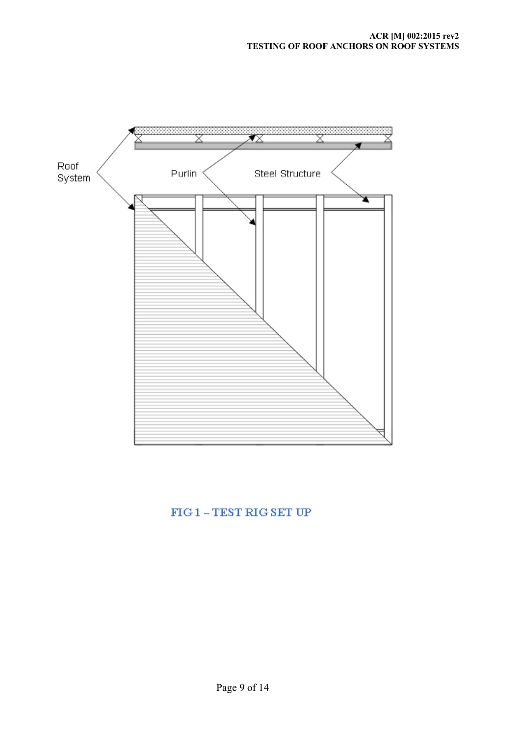<span id="page-9-0"></span>

## $FIG1 - TEST RIG SET UP$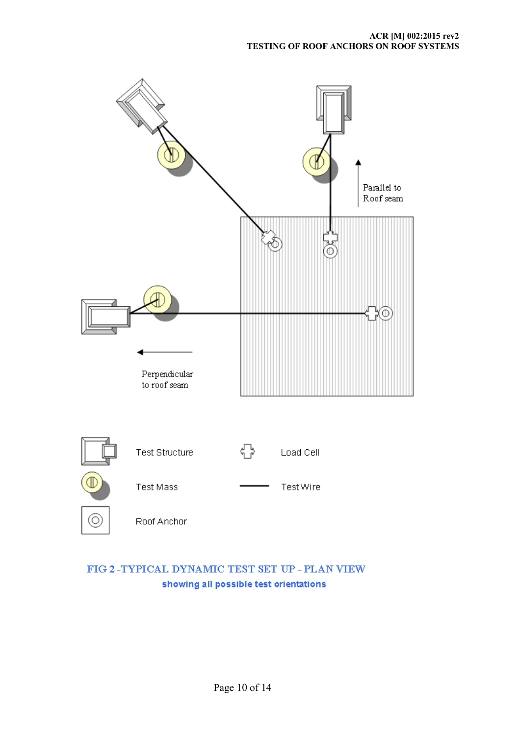<span id="page-10-0"></span>

## FIG 2-TYPICAL DYNAMIC TEST SET UP - PLAN VIEW showing all possible test orientations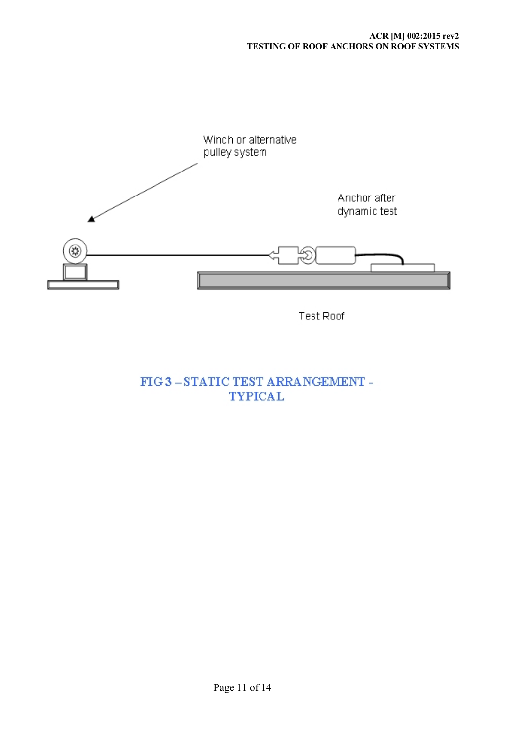<span id="page-11-0"></span>

Test Roof

 ${\rm FIG}$ 3 – STATIC TEST ARRANGEMENT -**TYPICAL**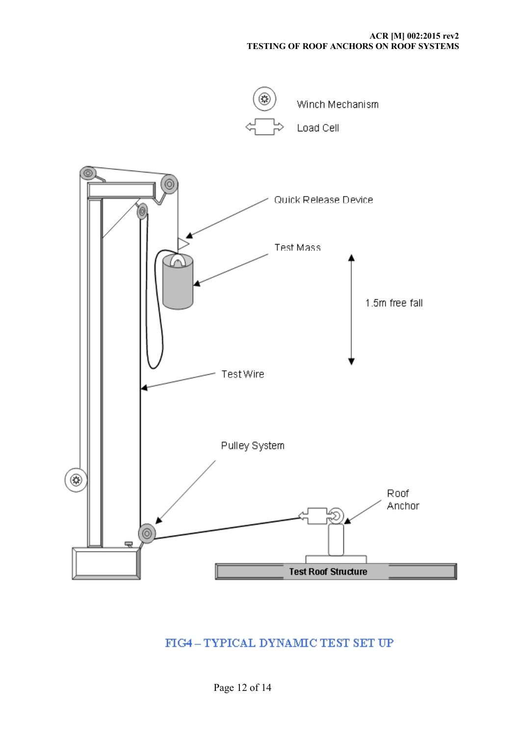<span id="page-12-0"></span>

## FIG4-TYPICAL DYNAMIC TEST SET UP

Page 12 of 14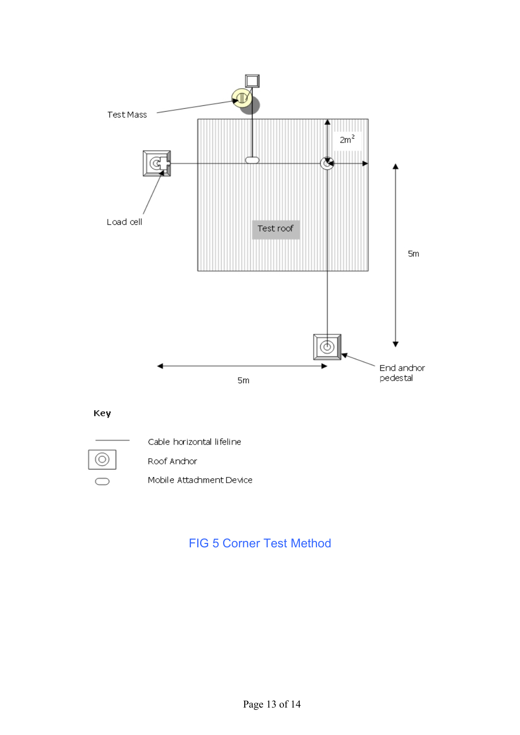<span id="page-13-0"></span>

## Key



Cable horizontal lifeline

Roof Andhor

Mobile Attachment Device

# FIG 5 Corner Test Method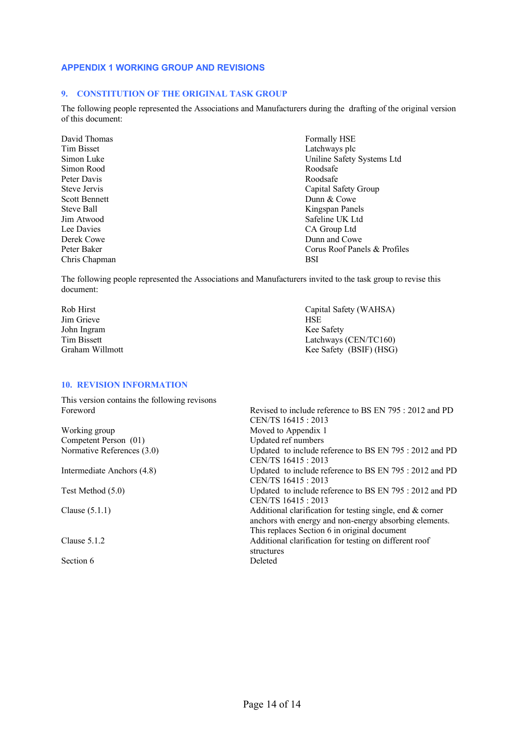#### <span id="page-14-0"></span>**APPENDIX 1 WORKING GROUP AND REVISIONS**

#### **9. CONSTITUTION OF THE ORIGINAL TASK GROUP**

The following people represented the Associations and Manufacturers during the drafting of the original version of this document:

David Thomas Formally HSE Tim Bisset Latchways plc Simon Rood Roodsafe Peter Davis<br>Steve Jervis Roodsafe<br>Capital Steve Jervis Scott Bennett Dunn & Cowe Lee Davies CA Group Ltd Chris Chapman BSI

Simon Luke Uniline Safety Systems Ltd Capital Safety Group Steve Ball Kingspan Panels<br>
Im Atwood Safeline UK Ltd Safeline UK Ltd Derek Cowe Dunn and Cowe Peter Baker Corus Roof Panels & Profiles

The following people represented the Associations and Manufacturers invited to the task group to revise this document:

Rob Hirst Capital Safety (WAHSA)<br>
Jim Grieve HSE Jim Grieve John Ingram Kee Safety Graham Willmott **Kee Safety (BSIF)** (HSG)

Latchways (CEN/TC160)

#### **10. REVISION INFORMATION**

This version contains the following revisons Revised to include reference to BS EN 795 : 2012 and PD CEN/TS 16415 : 2013 Working group Moved to Appendix 1 Competent Person (01) Updated ref numbers Normative References (3.0) Updated to include reference to BS EN 795 : 2012 and PD CEN/TS 16415 : 2013 Intermediate Anchors (4.8) Updated to include reference to BS EN 795 : 2012 and PD CEN/TS 16415 : 2013 Test Method (5.0) Updated to include reference to BS EN 795 : 2012 and PD CEN/TS 16415 : 2013 Clause (5.1.1) Additional clarification for testing single, end & corner anchors with energy and non-energy absorbing elements. This replaces Section 6 in original document Clause 5.1.2 Additional clarification for testing on different roof structures Section 6 Deleted